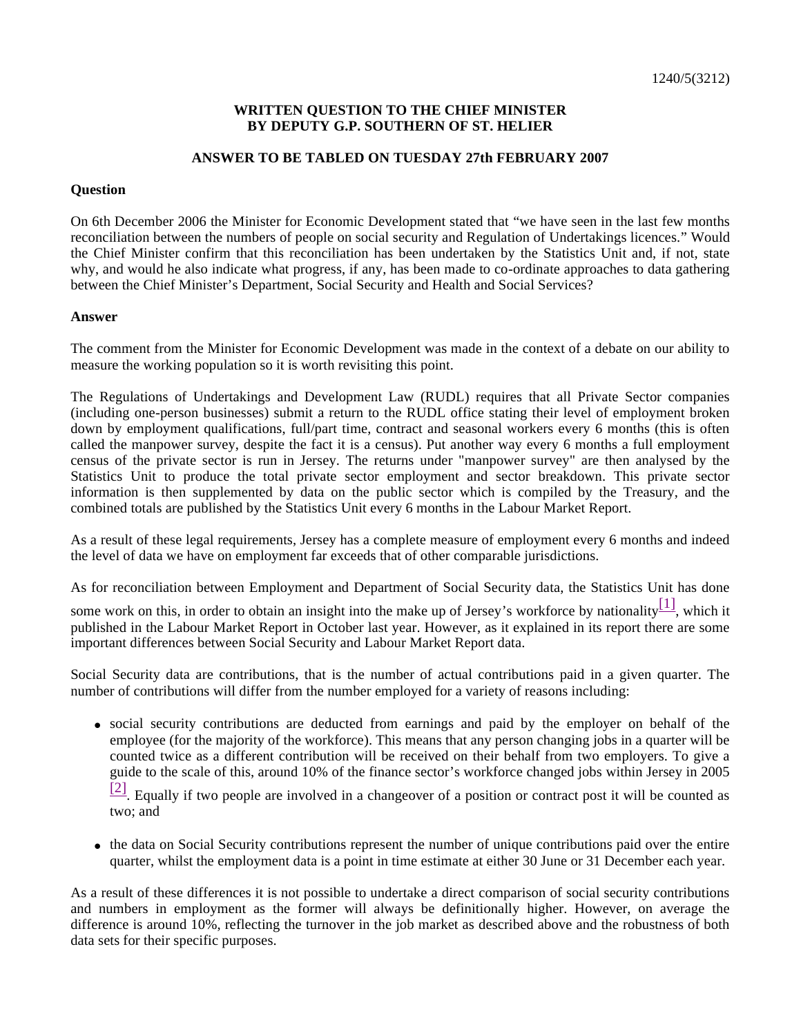## **WRITTEN QUESTION TO THE CHIEF MINISTER BY DEPUTY G.P. SOUTHERN OF ST. HELIER**

## **ANSWER TO BE TABLED ON TUESDAY 27th FEBRUARY 2007**

## **Question**

On 6th December 2006 the Minister for Economic Development stated that "we have seen in the last few months reconciliation between the numbers of people on social security and Regulation of Undertakings licences." Would the Chief Minister confirm that this reconciliation has been undertaken by the Statistics Unit and, if not, state why, and would he also indicate what progress, if any, has been made to co-ordinate approaches to data gathering between the Chief Minister's Department, Social Security and Health and Social Services?

## **Answer**

The comment from the Minister for Economic Development was made in the context of a debate on our ability to measure the working population so it is worth revisiting this point.

The Regulations of Undertakings and Development Law (RUDL) requires that all Private Sector companies (including one-person businesses) submit a return to the RUDL office stating their level of employment broken down by employment qualifications, full/part time, contract and seasonal workers every 6 months (this is often called the manpower survey, despite the fact it is a census). Put another way every 6 months a full employment census of the private sector is run in Jersey. The returns under "manpower survey" are then analysed by the Statistics Unit to produce the total private sector employment and sector breakdown. This private sector information is then supplemented by data on the public sector which is compiled by the Treasury, and the combined totals are published by the Statistics Unit every 6 months in the Labour Market Report.

As a result of these legal requirements, Jersey has a complete measure of employment every 6 months and indeed the level of data we have on employment far exceeds that of other comparable jurisdictions.

As for reconciliation between Employment and Department of Social Security data, the Statistics Unit has done

some work on this, in order to obtain an insight into the make up of Jersey's workforce by nationality $\begin{bmatrix} 1 \end{bmatrix}$ , which it published in the Labour Market Report in October last year. However, as it explained in its report there are some important differences between Social Security and Labour Market Report data.

Social Security data are contributions, that is the number of actual contributions paid in a given quarter. The number of contributions will differ from the number employed for a variety of reasons including:

 social security contributions are deducted from earnings and paid by the employer on behalf of the employee (for the majority of the workforce). This means that any person changing jobs in a quarter will be counted twice as a different contribution will be received on their behalf from two employers. To give a guide to the scale of this, around 10% of the finance sector's workforce changed jobs within Jersey in 2005

 $[2]$ . Equally if two people are involved in a changeover of a position or contract post it will be counted as two; and

 the data on Social Security contributions represent the number of unique contributions paid over the entire quarter, whilst the employment data is a point in time estimate at either 30 June or 31 December each year.

As a result of these differences it is not possible to undertake a direct comparison of social security contributions and numbers in employment as the former will always be definitionally higher. However, on average the difference is around 10%, reflecting the turnover in the job market as described above and the robustness of both data sets for their specific purposes.